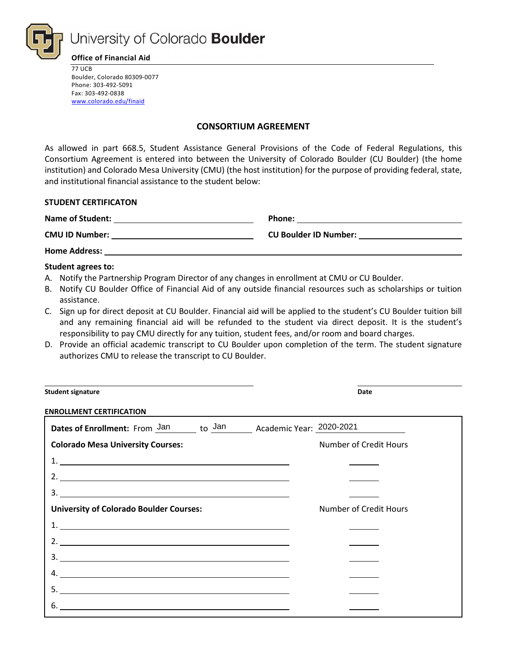

University of Colorado Boulder

**Office of Financial Aid**

77 UCB Boulder, Colorado 80309-0077 Phone: 303-492-5091 Fax: 303-492-0838 [www.colorado.edu/finaid](http://www.colorado.edu/finaid)

#### **CONSORTIUM AGREEMENT**

As allowed in part 668.5, Student Assistance General Provisions of the Code of Federal Regulations, this Consortium Agreement is entered into between the University of Colorado Boulder (CU Boulder) (the home institution) and Colorado Mesa University (CMU) (the host institution) for the purpose of providing federal, state, and institutional financial assistance to the student below:

#### **STUDENT CERTIFICATON**

| <b>Name of Student:</b> | Phone:                       |
|-------------------------|------------------------------|
| <b>CMU ID Number:</b>   | <b>CU Boulder ID Number:</b> |
| <b>Home Address:</b>    |                              |

#### **Student agrees to:**

- A. Notify the Partnership Program Director of any changes in enrollment at CMU or CU Boulder.
- B. Notify CU Boulder Office of Financial Aid of any outside financial resources such as scholarships or tuition assistance.
- C. Sign up for direct deposit at CU Boulder. Financial aid will be applied to the student's CU Boulder tuition bill and any remaining financial aid will be refunded to the student via direct deposit. It is the student's responsibility to pay CMU directly for any tuition, student fees, and/or room and board charges.
- D. Provide an official academic transcript to CU Boulder upon completion of the term. The student signature authorizes CMU to release the transcript to CU Boulder.

| <b>Student signature</b>                                                                                                                                                                                                                                                                                               | Date                          |
|------------------------------------------------------------------------------------------------------------------------------------------------------------------------------------------------------------------------------------------------------------------------------------------------------------------------|-------------------------------|
| <b>ENROLLMENT CERTIFICATION</b>                                                                                                                                                                                                                                                                                        |                               |
| Dates of Enrollment: From Jan to Jan Academic Year: 2020-2021                                                                                                                                                                                                                                                          |                               |
| <b>Colorado Mesa University Courses:</b>                                                                                                                                                                                                                                                                               | Number of Credit Hours        |
| $\begin{array}{c}\n1. \\ \hline\n\end{array}$                                                                                                                                                                                                                                                                          |                               |
|                                                                                                                                                                                                                                                                                                                        |                               |
|                                                                                                                                                                                                                                                                                                                        |                               |
| <b>University of Colorado Boulder Courses:</b>                                                                                                                                                                                                                                                                         | <b>Number of Credit Hours</b> |
|                                                                                                                                                                                                                                                                                                                        |                               |
| 2. $\frac{1}{2}$ $\frac{1}{2}$ $\frac{1}{2}$ $\frac{1}{2}$ $\frac{1}{2}$ $\frac{1}{2}$ $\frac{1}{2}$ $\frac{1}{2}$ $\frac{1}{2}$ $\frac{1}{2}$ $\frac{1}{2}$ $\frac{1}{2}$ $\frac{1}{2}$ $\frac{1}{2}$ $\frac{1}{2}$ $\frac{1}{2}$ $\frac{1}{2}$ $\frac{1}{2}$ $\frac{1}{2}$ $\frac{1}{2}$ $\frac{1}{2}$ $\frac{1}{2}$ |                               |
|                                                                                                                                                                                                                                                                                                                        |                               |
|                                                                                                                                                                                                                                                                                                                        |                               |
|                                                                                                                                                                                                                                                                                                                        |                               |
| 6.                                                                                                                                                                                                                                                                                                                     |                               |